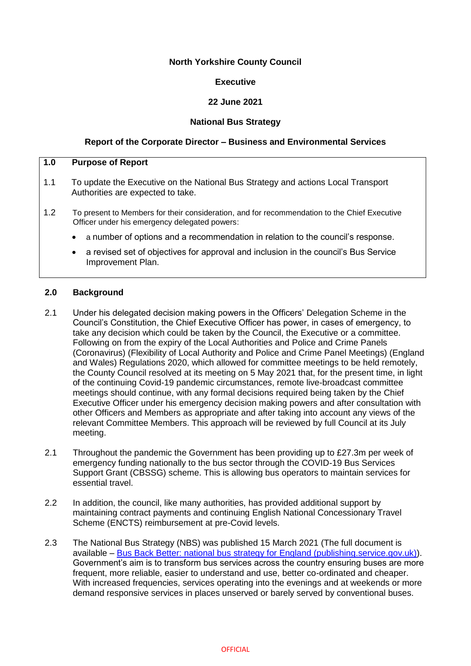## **North Yorkshire County Council**

## **Executive**

# **22 June 2021**

## **National Bus Strategy**

## **Report of the Corporate Director – Business and Environmental Services**

# **1.0 Purpose of Report** 1.1 To update the Executive on the National Bus Strategy and actions Local Transport Authorities are expected to take.

- 1.2 To present to Members for their consideration, and for recommendation to the Chief Executive Officer under his emergency delegated powers:
	- a number of options and a recommendation in relation to the council's response.
	- a revised set of objectives for approval and inclusion in the council's Bus Service Improvement Plan.

## **2.0 Background**

- 2.1 Under his delegated decision making powers in the Officers' Delegation Scheme in the Council's Constitution, the Chief Executive Officer has power, in cases of emergency, to take any decision which could be taken by the Council, the Executive or a committee. Following on from the expiry of the Local Authorities and Police and Crime Panels (Coronavirus) (Flexibility of Local Authority and Police and Crime Panel Meetings) (England and Wales) Regulations 2020, which allowed for committee meetings to be held remotely, the County Council resolved at its meeting on 5 May 2021 that, for the present time, in light of the continuing Covid-19 pandemic circumstances, remote live-broadcast committee meetings should continue, with any formal decisions required being taken by the Chief Executive Officer under his emergency decision making powers and after consultation with other Officers and Members as appropriate and after taking into account any views of the relevant Committee Members. This approach will be reviewed by full Council at its July meeting.
- 2.1 Throughout the pandemic the Government has been providing up to £27.3m per week of emergency funding nationally to the bus sector through the COVID-19 Bus Services Support Grant (CBSSG) scheme. This is allowing bus operators to maintain services for essential travel.
- 2.2 In addition, the council, like many authorities, has provided additional support by maintaining contract payments and continuing English National Concessionary Travel Scheme (ENCTS) reimbursement at pre-Covid levels.
- 2.3 The National Bus Strategy (NBS) was published 15 March 2021 (The full document is available – [Bus Back Better: national bus strategy for England \(publishing.service.gov.uk\)\)](https://assets.publishing.service.gov.uk/government/uploads/system/uploads/attachment_data/file/969205/DfT-Bus-Back-Better-national-bus-strategy-for-England.pdf). Government's aim is to transform bus services across the country ensuring buses are more frequent, more reliable, easier to understand and use, better co-ordinated and cheaper. With increased frequencies, services operating into the evenings and at weekends or more demand responsive services in places unserved or barely served by conventional buses.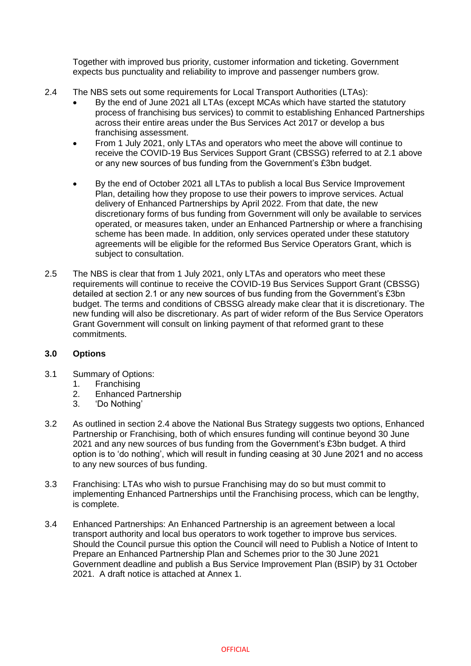Together with improved bus priority, customer information and ticketing. Government expects bus punctuality and reliability to improve and passenger numbers grow.

- 2.4 The NBS sets out some requirements for Local Transport Authorities (LTAs):
	- By the end of June 2021 all LTAs (except MCAs which have started the statutory process of franchising bus services) to commit to establishing Enhanced Partnerships across their entire areas under the Bus Services Act 2017 or develop a bus franchising assessment.
	- From 1 July 2021, only LTAs and operators who meet the above will continue to receive the COVID-19 Bus Services Support Grant (CBSSG) referred to at 2.1 above or any new sources of bus funding from the Government's £3bn budget.
	- By the end of October 2021 all LTAs to publish a local Bus Service Improvement Plan, detailing how they propose to use their powers to improve services. Actual delivery of Enhanced Partnerships by April 2022. From that date, the new discretionary forms of bus funding from Government will only be available to services operated, or measures taken, under an Enhanced Partnership or where a franchising scheme has been made. In addition, only services operated under these statutory agreements will be eligible for the reformed Bus Service Operators Grant, which is subject to consultation.
- 2.5 The NBS is clear that from 1 July 2021, only LTAs and operators who meet these requirements will continue to receive the COVID-19 Bus Services Support Grant (CBSSG) detailed at section 2.1 or any new sources of bus funding from the Government's £3bn budget. The terms and conditions of CBSSG already make clear that it is discretionary. The new funding will also be discretionary. As part of wider reform of the Bus Service Operators Grant Government will consult on linking payment of that reformed grant to these commitments.

## **3.0 Options**

- 3.1 Summary of Options:
	- 1. Franchising
	- 2. Enhanced Partnership<br>3. Do Nothing
	- 3. 'Do Nothing'
- 3.2 As outlined in section 2.4 above the National Bus Strategy suggests two options, Enhanced Partnership or Franchising, both of which ensures funding will continue beyond 30 June 2021 and any new sources of bus funding from the Government's £3bn budget. A third option is to 'do nothing', which will result in funding ceasing at 30 June 2021 and no access to any new sources of bus funding.
- 3.3 Franchising: LTAs who wish to pursue Franchising may do so but must commit to implementing Enhanced Partnerships until the Franchising process, which can be lengthy, is complete.
- 3.4 Enhanced Partnerships: An Enhanced Partnership is an agreement between a local transport authority and local bus operators to work together to improve bus services. Should the Council pursue this option the Council will need to Publish a Notice of Intent to Prepare an Enhanced Partnership Plan and Schemes prior to the 30 June 2021 Government deadline and publish a Bus Service Improvement Plan (BSIP) by 31 October 2021. A draft notice is attached at Annex 1.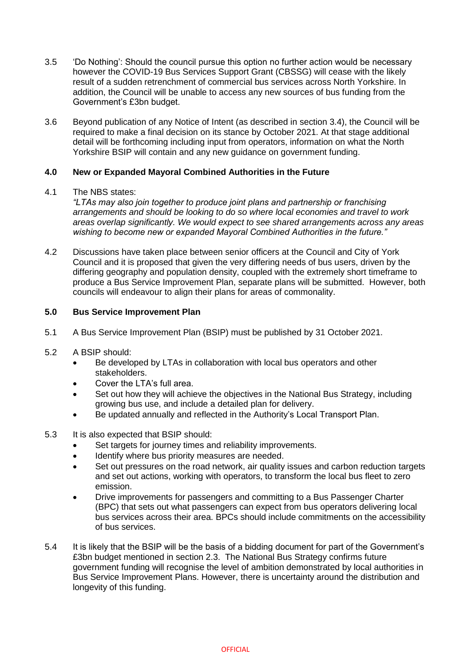- 3.5 'Do Nothing': Should the council pursue this option no further action would be necessary however the COVID-19 Bus Services Support Grant (CBSSG) will cease with the likely result of a sudden retrenchment of commercial bus services across North Yorkshire. In addition, the Council will be unable to access any new sources of bus funding from the Government's £3bn budget.
- 3.6 Beyond publication of any Notice of Intent (as described in section 3.4), the Council will be required to make a final decision on its stance by October 2021. At that stage additional detail will be forthcoming including input from operators, information on what the North Yorkshire BSIP will contain and any new guidance on government funding.

## **4.0 New or Expanded Mayoral Combined Authorities in the Future**

## 4.1 The NBS states:

*"LTAs may also join together to produce joint plans and partnership or franchising arrangements and should be looking to do so where local economies and travel to work areas overlap significantly. We would expect to see shared arrangements across any areas wishing to become new or expanded Mayoral Combined Authorities in the future."*

4.2 Discussions have taken place between senior officers at the Council and City of York Council and it is proposed that given the very differing needs of bus users, driven by the differing geography and population density, coupled with the extremely short timeframe to produce a Bus Service Improvement Plan, separate plans will be submitted. However, both councils will endeavour to align their plans for areas of commonality.

## **5.0 Bus Service Improvement Plan**

- 5.1 A Bus Service Improvement Plan (BSIP) must be published by 31 October 2021.
- 5.2 A BSIP should:
	- Be developed by LTAs in collaboration with local bus operators and other stakeholders.
	- Cover the LTA's full area.
	- Set out how they will achieve the objectives in the National Bus Strategy, including growing bus use, and include a detailed plan for delivery.
	- Be updated annually and reflected in the Authority's Local Transport Plan.
- 5.3 It is also expected that BSIP should:
	- Set targets for journey times and reliability improvements.
	- $\bullet$  Identify where bus priority measures are needed.
	- Set out pressures on the road network, air quality issues and carbon reduction targets and set out actions, working with operators, to transform the local bus fleet to zero emission.
	- Drive improvements for passengers and committing to a Bus Passenger Charter (BPC) that sets out what passengers can expect from bus operators delivering local bus services across their area. BPCs should include commitments on the accessibility of bus services.
- 5.4 It is likely that the BSIP will be the basis of a bidding document for part of the Government's £3bn budget mentioned in section 2.3. The National Bus Strategy confirms future government funding will recognise the level of ambition demonstrated by local authorities in Bus Service Improvement Plans. However, there is uncertainty around the distribution and longevity of this funding.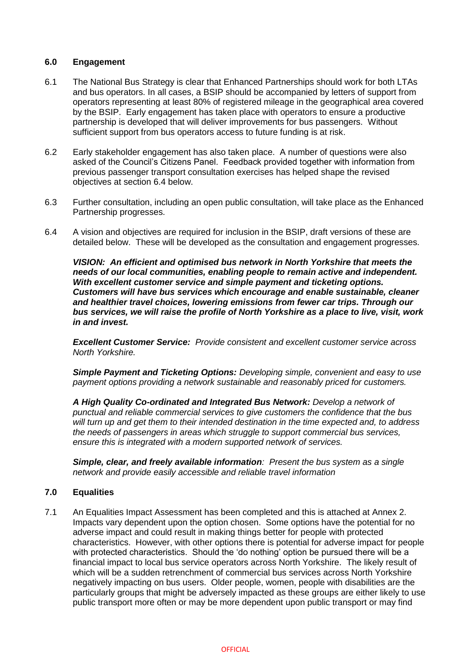## **6.0 Engagement**

- 6.1 The National Bus Strategy is clear that Enhanced Partnerships should work for both LTAs and bus operators. In all cases, a BSIP should be accompanied by letters of support from operators representing at least 80% of registered mileage in the geographical area covered by the BSIP. Early engagement has taken place with operators to ensure a productive partnership is developed that will deliver improvements for bus passengers. Without sufficient support from bus operators access to future funding is at risk.
- 6.2 Early stakeholder engagement has also taken place. A number of questions were also asked of the Council's Citizens Panel. Feedback provided together with information from previous passenger transport consultation exercises has helped shape the revised objectives at section 6.4 below.
- 6.3 Further consultation, including an open public consultation, will take place as the Enhanced Partnership progresses.
- 6.4 A vision and objectives are required for inclusion in the BSIP, draft versions of these are detailed below. These will be developed as the consultation and engagement progresses.

*VISION: An efficient and optimised bus network in North Yorkshire that meets the needs of our local communities, enabling people to remain active and independent. With excellent customer service and simple payment and ticketing options. Customers will have bus services which encourage and enable sustainable, cleaner and healthier travel choices, lowering emissions from fewer car trips. Through our bus services, we will raise the profile of North Yorkshire as a place to live, visit, work in and invest.*

*Excellent Customer Service: Provide consistent and excellent customer service across North Yorkshire.* 

*Simple Payment and Ticketing Options: Developing simple, convenient and easy to use payment options providing a network sustainable and reasonably priced for customers.* 

*A High Quality Co-ordinated and Integrated Bus Network: Develop a network of punctual and reliable commercial services to give customers the confidence that the bus will turn up and get them to their intended destination in the time expected and, to address the needs of passengers in areas which struggle to support commercial bus services, ensure this is integrated with a modern supported network of services.*

*Simple, clear, and freely available information: Present the bus system as a single network and provide easily accessible and reliable travel information*

## **7.0 Equalities**

7.1 An Equalities Impact Assessment has been completed and this is attached at Annex 2. Impacts vary dependent upon the option chosen. Some options have the potential for no adverse impact and could result in making things better for people with protected characteristics. However, with other options there is potential for adverse impact for people with protected characteristics. Should the 'do nothing' option be pursued there will be a financial impact to local bus service operators across North Yorkshire. The likely result of which will be a sudden retrenchment of commercial bus services across North Yorkshire negatively impacting on bus users. Older people, women, people with disabilities are the particularly groups that might be adversely impacted as these groups are either likely to use public transport more often or may be more dependent upon public transport or may find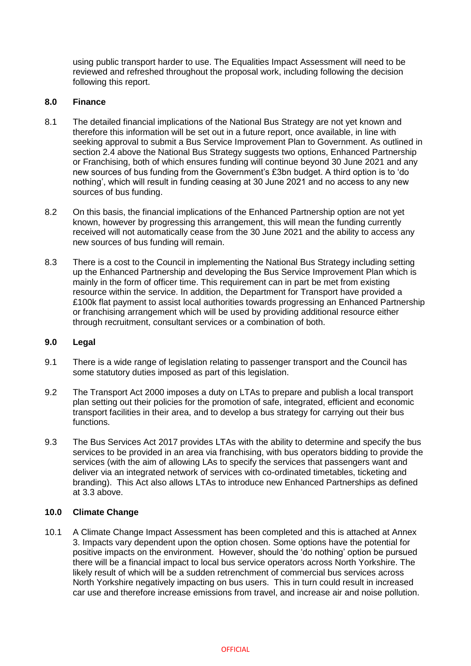using public transport harder to use. The Equalities Impact Assessment will need to be reviewed and refreshed throughout the proposal work, including following the decision following this report.

## **8.0 Finance**

- 8.1 The detailed financial implications of the National Bus Strategy are not yet known and therefore this information will be set out in a future report, once available, in line with seeking approval to submit a Bus Service Improvement Plan to Government. As outlined in section 2.4 above the National Bus Strategy suggests two options, Enhanced Partnership or Franchising, both of which ensures funding will continue beyond 30 June 2021 and any new sources of bus funding from the Government's £3bn budget. A third option is to 'do nothing', which will result in funding ceasing at 30 June 2021 and no access to any new sources of bus funding.
- 8.2 On this basis, the financial implications of the Enhanced Partnership option are not yet known, however by progressing this arrangement, this will mean the funding currently received will not automatically cease from the 30 June 2021 and the ability to access any new sources of bus funding will remain.
- 8.3 There is a cost to the Council in implementing the National Bus Strategy including setting up the Enhanced Partnership and developing the Bus Service Improvement Plan which is mainly in the form of officer time. This requirement can in part be met from existing resource within the service. In addition, the Department for Transport have provided a £100k flat payment to assist local authorities towards progressing an Enhanced Partnership or franchising arrangement which will be used by providing additional resource either through recruitment, consultant services or a combination of both.

#### **9.0 Legal**

- 9.1 There is a wide range of legislation relating to passenger transport and the Council has some statutory duties imposed as part of this legislation.
- 9.2 The Transport Act 2000 imposes a duty on LTAs to prepare and publish a local transport plan setting out their policies for the promotion of safe, integrated, efficient and economic transport facilities in their area, and to develop a bus strategy for carrying out their bus functions.
- 9.3 The Bus Services Act 2017 provides LTAs with the ability to determine and specify the bus services to be provided in an area via franchising, with bus operators bidding to provide the services (with the aim of allowing LAs to specify the services that passengers want and deliver via an integrated network of services with co-ordinated timetables, ticketing and branding). This Act also allows LTAs to introduce new Enhanced Partnerships as defined at 3.3 above.

## **10.0 Climate Change**

10.1 A Climate Change Impact Assessment has been completed and this is attached at Annex 3. Impacts vary dependent upon the option chosen. Some options have the potential for positive impacts on the environment. However, should the 'do nothing' option be pursued there will be a financial impact to local bus service operators across North Yorkshire. The likely result of which will be a sudden retrenchment of commercial bus services across North Yorkshire negatively impacting on bus users. This in turn could result in increased car use and therefore increase emissions from travel, and increase air and noise pollution.